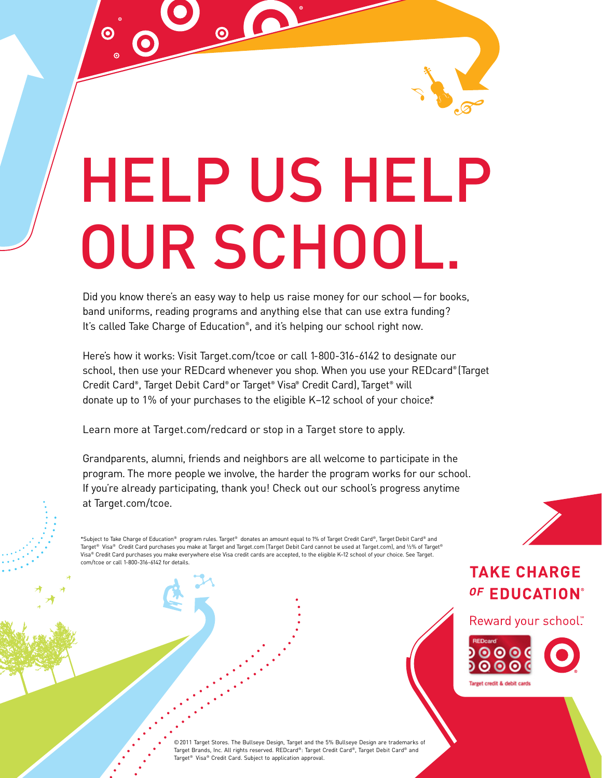HELP US HELP OUR SCHOOL.

Did you know there's an easy way to help us raise money for our school—for books, band uniforms, reading programs and anything else that can use extra funding? It's called Take Charge of Education® , and it's helping our school right now.

Here's how it works: Visit Target.com/tcoe or call 1-800-316-6142 to designate our school, then use your REDcard whenever you shop. When you use your REDcard® (Target Credit Card®, Target Debit Card®or Target® Visa® Credit Card), Target® will donate up to 1% of your purchases to the eligible K-12 school of your choice\*

Learn more at Target.com/redcard or stop in a Target store to apply.

 $\boldsymbol{\Theta}$ 

Grandparents, alumni, friends and neighbors are all welcome to participate in the program. The more people we involve, the harder the program works for our school. If you're already participating, thank you! Check out our school's progress anytime at Target.com/tcoe.

\*Subject to Take Charge of Education® program rules. Target® donates an amount equal to 1% of Target Credit Card®, TargetDebit Card® and Target® Visa® Credit Card purchases you make at Target and Target.com (Target Debit Card cannot be used at Target.com), and ½% of Target® Visa® Credit Card purchases you make everywhere else Visa credit cards are accepted, to the eligible K–12 school of your choice. See Target. com/tcoe or call 1-800-316-6142 for details.

## **TAKE CHARGE** OF EDUCATION®

Reward your school"



©2011 Target Stores. The Bullseye Design, Target and the 5% Bullseye Design are trademarks of Target Brands, Inc. All rights reserved. REDcard®: Target Credit Card®, Target Debit Card® and Target® Visa® Credit Card. Subject to application approval.